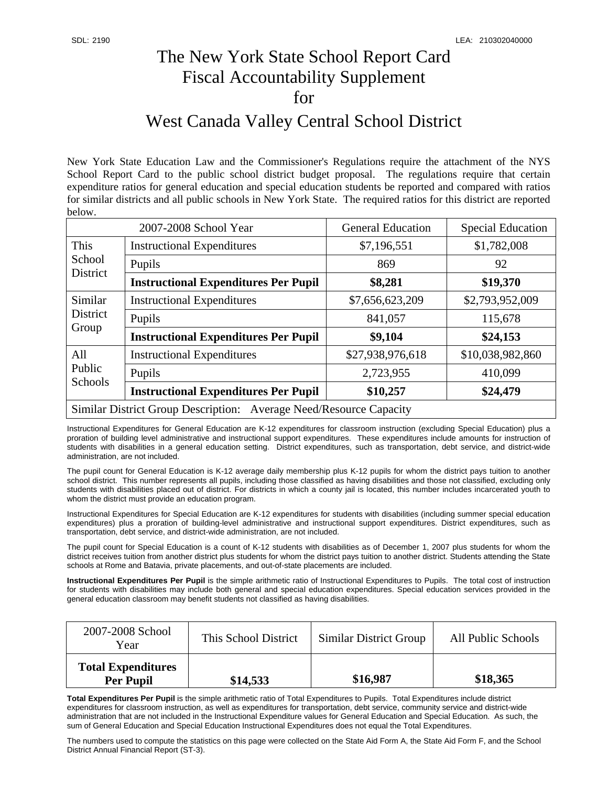## The New York State School Report Card Fiscal Accountability Supplement for

## West Canada Valley Central School District

New York State Education Law and the Commissioner's Regulations require the attachment of the NYS School Report Card to the public school district budget proposal. The regulations require that certain expenditure ratios for general education and special education students be reported and compared with ratios for similar districts and all public schools in New York State. The required ratios for this district are reported below.

| 2007-2008 School Year                                              |                                             | <b>General Education</b> | <b>Special Education</b> |  |
|--------------------------------------------------------------------|---------------------------------------------|--------------------------|--------------------------|--|
| This<br>School<br>District                                         | <b>Instructional Expenditures</b>           | \$7,196,551              | \$1,782,008              |  |
|                                                                    | Pupils                                      | 869                      | 92                       |  |
|                                                                    | <b>Instructional Expenditures Per Pupil</b> | \$8,281                  | \$19,370                 |  |
| Similar<br>District<br>Group                                       | <b>Instructional Expenditures</b>           | \$7,656,623,209          | \$2,793,952,009          |  |
|                                                                    | Pupils                                      | 841,057                  | 115,678                  |  |
|                                                                    | <b>Instructional Expenditures Per Pupil</b> | \$9,104                  | \$24,153                 |  |
| All<br>Public<br><b>Schools</b>                                    | <b>Instructional Expenditures</b>           | \$27,938,976,618         | \$10,038,982,860         |  |
|                                                                    | Pupils                                      | 2,723,955                | 410,099                  |  |
|                                                                    | <b>Instructional Expenditures Per Pupil</b> | \$10,257                 | \$24,479                 |  |
| Similar District Group Description: Average Need/Resource Capacity |                                             |                          |                          |  |

Instructional Expenditures for General Education are K-12 expenditures for classroom instruction (excluding Special Education) plus a proration of building level administrative and instructional support expenditures. These expenditures include amounts for instruction of students with disabilities in a general education setting. District expenditures, such as transportation, debt service, and district-wide administration, are not included.

The pupil count for General Education is K-12 average daily membership plus K-12 pupils for whom the district pays tuition to another school district. This number represents all pupils, including those classified as having disabilities and those not classified, excluding only students with disabilities placed out of district. For districts in which a county jail is located, this number includes incarcerated youth to whom the district must provide an education program.

Instructional Expenditures for Special Education are K-12 expenditures for students with disabilities (including summer special education expenditures) plus a proration of building-level administrative and instructional support expenditures. District expenditures, such as transportation, debt service, and district-wide administration, are not included.

The pupil count for Special Education is a count of K-12 students with disabilities as of December 1, 2007 plus students for whom the district receives tuition from another district plus students for whom the district pays tuition to another district. Students attending the State schools at Rome and Batavia, private placements, and out-of-state placements are included.

**Instructional Expenditures Per Pupil** is the simple arithmetic ratio of Instructional Expenditures to Pupils. The total cost of instruction for students with disabilities may include both general and special education expenditures. Special education services provided in the general education classroom may benefit students not classified as having disabilities.

| 2007-2008 School<br>Year                      | This School District | <b>Similar District Group</b> | All Public Schools |
|-----------------------------------------------|----------------------|-------------------------------|--------------------|
| <b>Total Expenditures</b><br><b>Per Pupil</b> | \$14,533             | \$16,987                      | \$18,365           |

**Total Expenditures Per Pupil** is the simple arithmetic ratio of Total Expenditures to Pupils. Total Expenditures include district expenditures for classroom instruction, as well as expenditures for transportation, debt service, community service and district-wide administration that are not included in the Instructional Expenditure values for General Education and Special Education. As such, the sum of General Education and Special Education Instructional Expenditures does not equal the Total Expenditures.

The numbers used to compute the statistics on this page were collected on the State Aid Form A, the State Aid Form F, and the School District Annual Financial Report (ST-3).